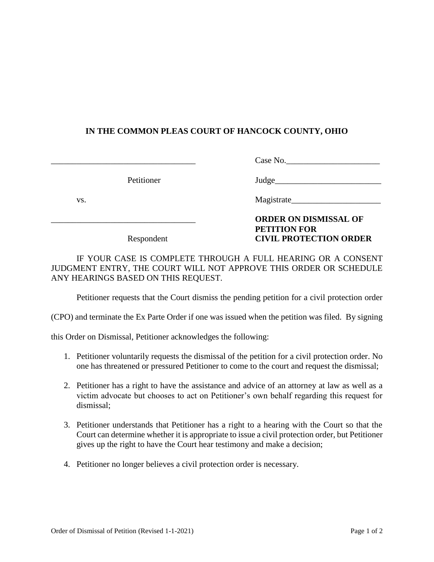## **IN THE COMMON PLEAS COURT OF HANCOCK COUNTY, OHIO**

Case No.

Petitioner Judge

vs.

## \_\_\_\_\_\_\_\_\_\_\_\_\_\_\_\_\_\_\_\_\_\_\_\_\_\_\_\_\_\_\_\_\_\_ **ORDER ON DISMISSAL OF PETITION FOR**  Respondent **CIVIL PROTECTION ORDER**

IF YOUR CASE IS COMPLETE THROUGH A FULL HEARING OR A CONSENT JUDGMENT ENTRY, THE COURT WILL NOT APPROVE THIS ORDER OR SCHEDULE ANY HEARINGS BASED ON THIS REQUEST.

Petitioner requests that the Court dismiss the pending petition for a civil protection order

(CPO) and terminate the Ex Parte Order if one was issued when the petition was filed. By signing

this Order on Dismissal, Petitioner acknowledges the following:

- 1. Petitioner voluntarily requests the dismissal of the petition for a civil protection order. No one has threatened or pressured Petitioner to come to the court and request the dismissal;
- 2. Petitioner has a right to have the assistance and advice of an attorney at law as well as a victim advocate but chooses to act on Petitioner's own behalf regarding this request for dismissal;
- 3. Petitioner understands that Petitioner has a right to a hearing with the Court so that the Court can determine whether it is appropriate to issue a civil protection order, but Petitioner gives up the right to have the Court hear testimony and make a decision;
- 4. Petitioner no longer believes a civil protection order is necessary.